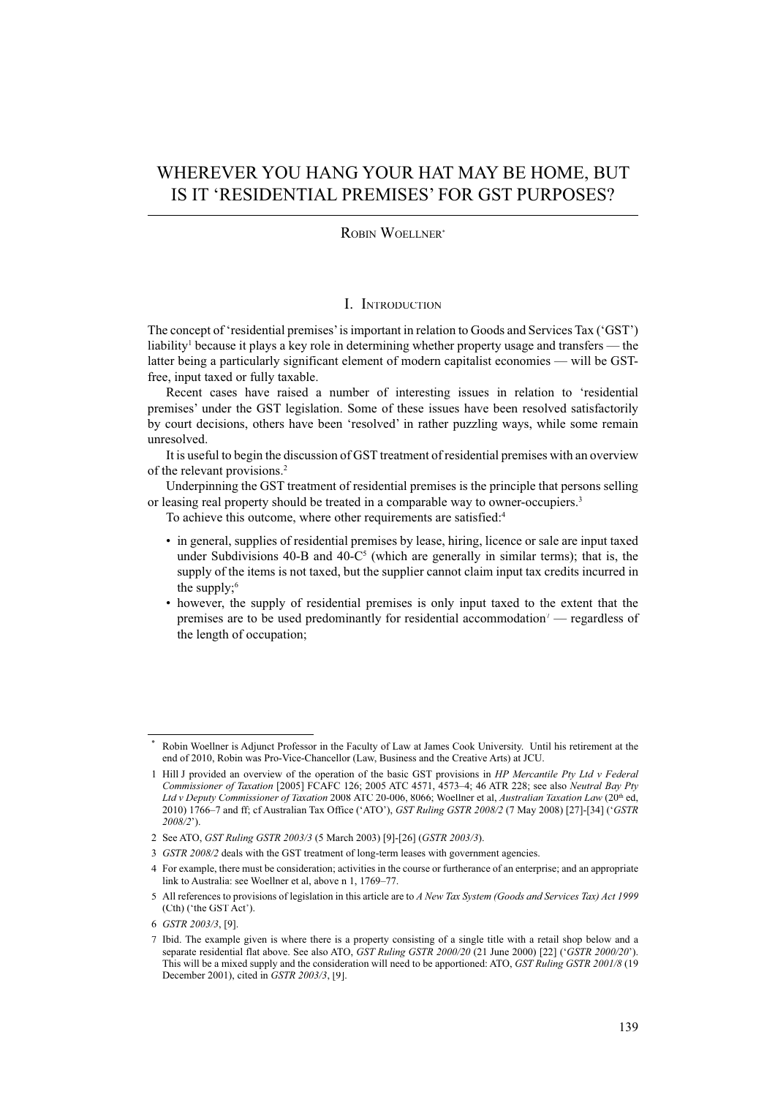# WHEREVER YOU HANG YOUR HAT MAY BE HOME, BUT IS IT 'RESIDENTIAL PREMISES' FOR GST PURPOSES?

#### ROBIN WOELLNER\*

#### I. INTRODUCTION

The concept of 'residential premises' is important in relation to Goods and Services Tax ('GST') liability<sup>1</sup> because it plays a key role in determining whether property usage and transfers — the latter being a particularly significant element of modern capitalist economies — will be GSTfree, input taxed or fully taxable.

Recent cases have raised a number of interesting issues in relation to 'residential premises' under the GST legislation. Some of these issues have been resolved satisfactorily by court decisions, others have been 'resolved' in rather puzzling ways, while some remain unresolved.

It is useful to begin the discussion of GST treatment of residential premises with an overview of the relevant provisions.<sup>2</sup>

Underpinning the GST treatment of residential premises is the principle that persons selling or leasing real property should be treated in a comparable way to owner-occupiers.<sup>3</sup>

To achieve this outcome, where other requirements are satisfied:<sup>4</sup>

- in general, supplies of residential premises by lease, hiring, licence or sale are input taxed under Subdivisions 40-B and 40- $C<sup>5</sup>$  (which are generally in similar terms); that is, the supply of the items is not taxed, but the supplier cannot claim input tax credits incurred in the supply; $6$
- however, the supply of residential premises is only input taxed to the extent that the premises are to be used predominantly for residential accommodation<sup>7</sup> — regardless of the length of occupation;

Robin Woellner is Adjunct Professor in the Faculty of Law at James Cook University. Until his retirement at the end of 2010, Robin was Pro-Vice-Chancellor (Law, Business and the Creative Arts) at JCU.

<sup>1</sup> Hill J provided an overview of the operation of the basic GST provisions in *HP Mercantile Pty Ltd v Federal Commissioner of Taxation* [2005] FCAFC 126; 2005 ATC 4571, 4573–4; 46 ATR 228; see also *Neutral Bay Pty Ltd v Deputy Commissioner of Taxation* 2008 ATC 20-006, 8066; Woellner et al, *Australian Taxation Law* (20th ed, 2010) 1766–7 and ff; cf Australian Tax Office ('ATO'), *GST Ruling GSTR 2008/2* (7 May 2008) [27]-[34] ('*GSTR 2008/2*').

<sup>2</sup> See ATO, *GST Ruling GSTR 2003/3* (5 March 2003) [9]-[26] (*GSTR 2003/3*).

<sup>3</sup> *GSTR 2008/2* deals with the GST treatment of long-term leases with government agencies.

<sup>4</sup> For example, there must be consideration; activities in the course or furtherance of an enterprise; and an appropriate link to Australia: see Woellner et al, above n 1, 1769–77.

<sup>5</sup> All references to provisions of legislation in this article are to *A New Tax System (Goods and Services Tax) Act 1999*  (Cth) ('the GST Act').

<sup>6</sup> *GSTR 2003/3*, [9].

<sup>7</sup> Ibid. The example given is where there is a property consisting of a single title with a retail shop below and a separate residential flat above. See also ATO, *GST Ruling GSTR 2000/20* (21 June 2000) [22] ('*GSTR 2000/20*'). This will be a mixed supply and the consideration will need to be apportioned: ATO, *GST Ruling GSTR 2001/8* (19 December 2001), cited in *GSTR 2003/3*, [9].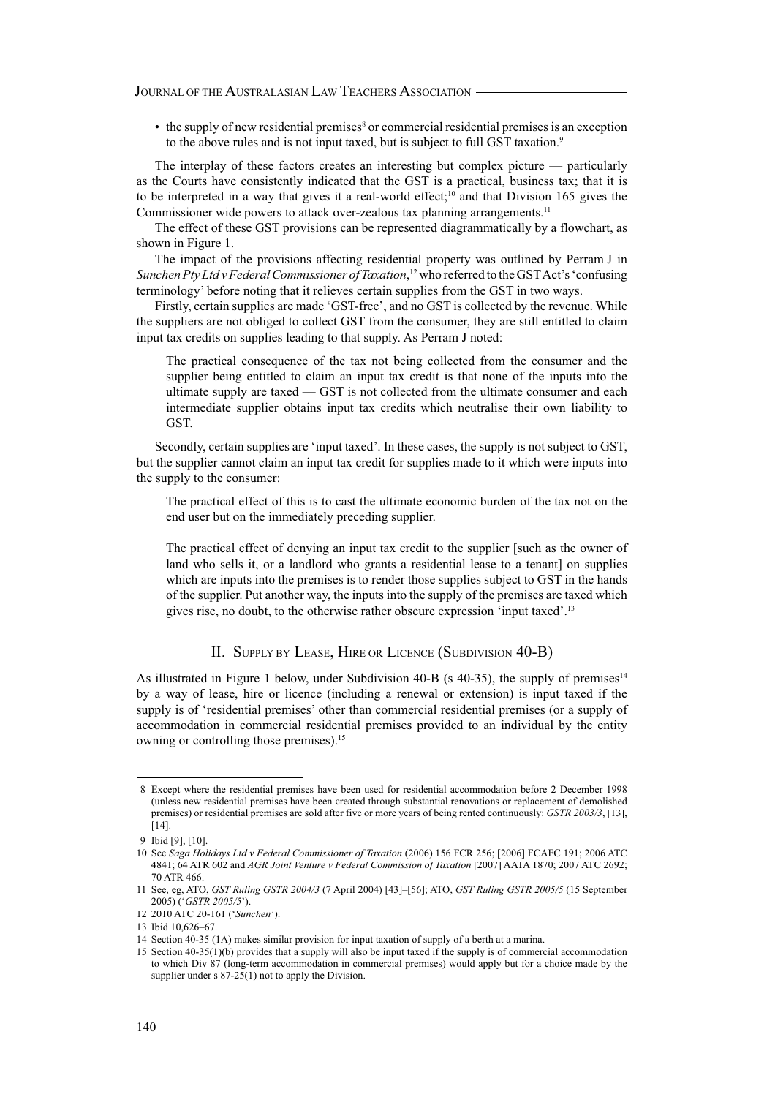JOURNAL OF THE AUSTRALASIAN LAW TEACHERS ASSOCIATION

 $\bullet$  the supply of new residential premises<sup>8</sup> or commercial residential premises is an exception to the above rules and is not input taxed, but is subject to full GST taxation.<sup>9</sup>

The interplay of these factors creates an interesting but complex picture — particularly as the Courts have consistently indicated that the GST is a practical, business tax; that it is to be interpreted in a way that gives it a real-world effect;<sup>10</sup> and that Division 165 gives the Commissioner wide powers to attack over-zealous tax planning arrangements.<sup>11</sup>

The effect of these GST provisions can be represented diagrammatically by a flowchart, as shown in Figure 1.

The impact of the provisions affecting residential property was outlined by Perram J in *Sunchen Pty Ltd v Federal Commissioner of Taxation*, <sup>12</sup> who referred to the GST Act's 'confusing terminology' before noting that it relieves certain supplies from the GST in two ways.

Firstly, certain supplies are made 'GST-free', and no GST is collected by the revenue. While the suppliers are not obliged to collect GST from the consumer, they are still entitled to claim input tax credits on supplies leading to that supply. As Perram J noted:

The practical consequence of the tax not being collected from the consumer and the supplier being entitled to claim an input tax credit is that none of the inputs into the ultimate supply are taxed — GST is not collected from the ultimate consumer and each intermediate supplier obtains input tax credits which neutralise their own liability to GST.

Secondly, certain supplies are 'input taxed'. In these cases, the supply is not subject to GST, but the supplier cannot claim an input tax credit for supplies made to it which were inputs into the supply to the consumer:

The practical effect of this is to cast the ultimate economic burden of the tax not on the end user but on the immediately preceding supplier.

The practical effect of denying an input tax credit to the supplier [such as the owner of land who sells it, or a landlord who grants a residential lease to a tenant] on supplies which are inputs into the premises is to render those supplies subject to GST in the hands of the supplier. Put another way, the inputs into the supply of the premises are taxed which gives rise, no doubt, to the otherwise rather obscure expression 'input taxed'.<sup>13</sup>

## II. SUPPLY BY LEASE, HIRE OR LICENCE (SUBDIVISION 40-B)

As illustrated in Figure 1 below, under Subdivision 40-B (s  $40-35$ ), the supply of premises<sup>14</sup> by a way of lease, hire or licence (including a renewal or extension) is input taxed if the supply is of 'residential premises' other than commercial residential premises (or a supply of accommodation in commercial residential premises provided to an individual by the entity owning or controlling those premises).<sup>15</sup>

<sup>8</sup> Except where the residential premises have been used for residential accommodation before 2 December 1998 (unless new residential premises have been created through substantial renovations or replacement of demolished premises) or residential premises are sold after five or more years of being rented continuously: *GSTR 2003/3*, [13], [14].

<sup>9</sup> Ibid [9], [10].

<sup>10</sup> See *Saga Holidays Ltd v Federal Commissioner of Taxation* (2006) 156 FCR 256; [2006] FCAFC 191; 2006 ATC 4841; 64 ATR 602 and *AGR Joint Venture v Federal Commission of Taxation* [2007] AATA 1870; 2007 ATC 2692; 70 ATR 466.

<sup>11</sup> See, eg, ATO, *GST Ruling GSTR 2004/3* (7 April 2004) [43]–[56]; ATO, *GST Ruling GSTR 2005/5* (15 September 2005) ('*GSTR 2005/5*').

<sup>12 2010</sup> ATC 20-161 ('*Sunchen*').

<sup>13</sup> Ibid 10,626–67.

<sup>14</sup> Section 40-35 (1A) makes similar provision for input taxation of supply of a berth at a marina.

<sup>15</sup> Section 40-35(1)(b) provides that a supply will also be input taxed if the supply is of commercial accommodation to which Div 87 (long-term accommodation in commercial premises) would apply but for a choice made by the supplier under s  $87-25(1)$  not to apply the Division.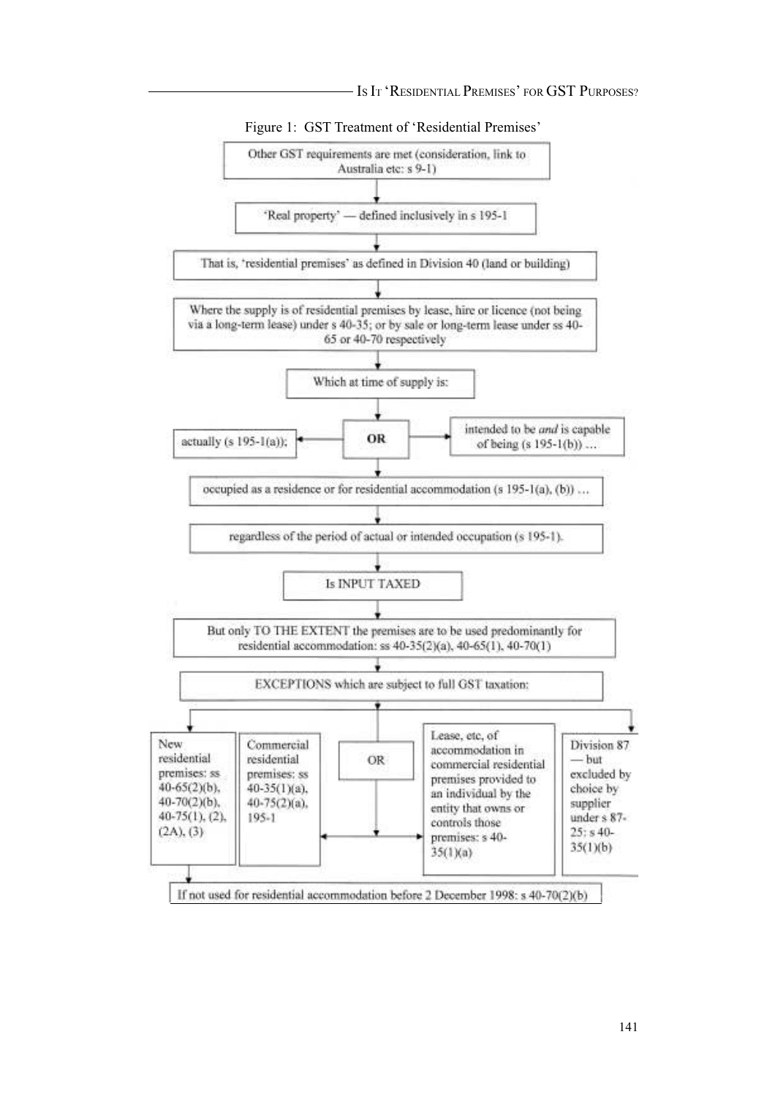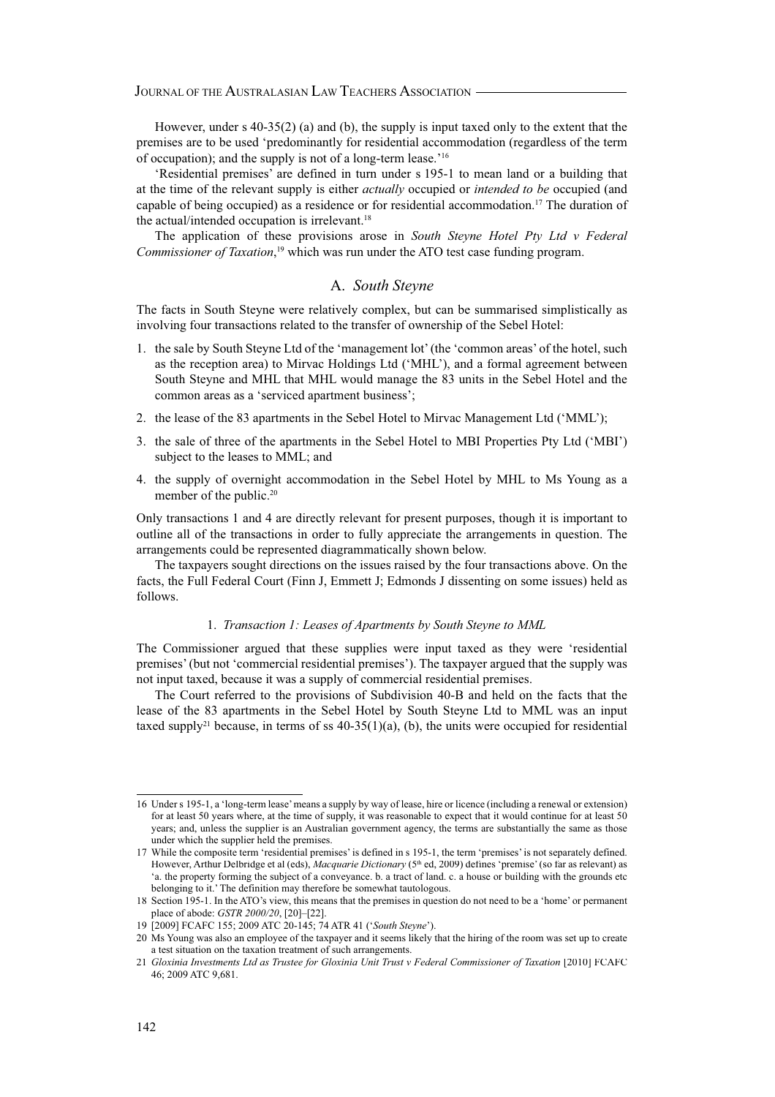However, under s  $40-35(2)$  (a) and (b), the supply is input taxed only to the extent that the premises are to be used 'predominantly for residential accommodation (regardless of the term of occupation); and the supply is not of a long-term lease.'<sup>16</sup>

'Residential premises' are defined in turn under s 195-1 to mean land or a building that at the time of the relevant supply is either *actually* occupied or *intended to be* occupied (and capable of being occupied) as a residence or for residential accommodation.<sup>17</sup> The duration of the actual/intended occupation is irrelevant.<sup>18</sup>

The application of these provisions arose in *South Steyne Hotel Pty Ltd v Federal Commissioner of Taxation*, <sup>19</sup> which was run under the ATO test case funding program.

#### A. *South Steyne*

The facts in South Steyne were relatively complex, but can be summarised simplistically as involving four transactions related to the transfer of ownership of the Sebel Hotel:

- 1. the sale by South Steyne Ltd of the 'management lot' (the 'common areas' of the hotel, such as the reception area) to Mirvac Holdings Ltd ('MHL'), and a formal agreement between South Steyne and MHL that MHL would manage the 83 units in the Sebel Hotel and the common areas as a 'serviced apartment business';
- 2. the lease of the 83 apartments in the Sebel Hotel to Mirvac Management Ltd ('MML');
- 3. the sale of three of the apartments in the Sebel Hotel to MBI Properties Pty Ltd ('MBI') subject to the leases to MML; and
- 4. the supply of overnight accommodation in the Sebel Hotel by MHL to Ms Young as a member of the public.<sup>20</sup>

Only transactions 1 and 4 are directly relevant for present purposes, though it is important to outline all of the transactions in order to fully appreciate the arrangements in question. The arrangements could be represented diagrammatically shown below.

The taxpayers sought directions on the issues raised by the four transactions above. On the facts, the Full Federal Court (Finn J, Emmett J; Edmonds J dissenting on some issues) held as follows.

#### 1. *Transaction 1: Leases of Apartments by South Steyne to MML*

The Commissioner argued that these supplies were input taxed as they were 'residential premises' (but not 'commercial residential premises'). The taxpayer argued that the supply was not input taxed, because it was a supply of commercial residential premises.

The Court referred to the provisions of Subdivision 40-B and held on the facts that the lease of the 83 apartments in the Sebel Hotel by South Steyne Ltd to MML was an input taxed supply<sup>21</sup> because, in terms of ss  $40-35(1)(a)$ , (b), the units were occupied for residential

<sup>16</sup> Under s 195-1, a 'long-term lease' means a supply by way of lease, hire or licence (including a renewal or extension) for at least 50 years where, at the time of supply, it was reasonable to expect that it would continue for at least 50 years; and, unless the supplier is an Australian government agency, the terms are substantially the same as those under which the supplier held the premises.

<sup>17</sup> While the composite term 'residential premises' is defined in s 195-1, the term 'premises' is not separately defined. However, Arthur Delbridge et al (eds), *Macquarie Dictionary* (5<sup>th</sup> ed, 2009) defines 'premise' (so far as relevant) as 'a. the property forming the subject of a conveyance. b. a tract of land. c. a house or building with the grounds etc belonging to it.' The definition may therefore be somewhat tautologous.

<sup>18</sup> Section 195-1. In the ATO's view, this means that the premises in question do not need to be a 'home' or permanent place of abode: *GSTR 2000/20*, [20]–[22].

<sup>19 [2009]</sup> FCAFC 155; 2009 ATC 20-145; 74 ATR 41 ('*South Steyne*').

<sup>20</sup> Ms Young was also an employee of the taxpayer and it seems likely that the hiring of the room was set up to create a test situation on the taxation treatment of such arrangements.

<sup>21</sup> *Gloxinia Investments Ltd as Trustee for Gloxinia Unit Trust v Federal Commissioner of Taxation* [2010] FCAFC 46; 2009 ATC 9,681.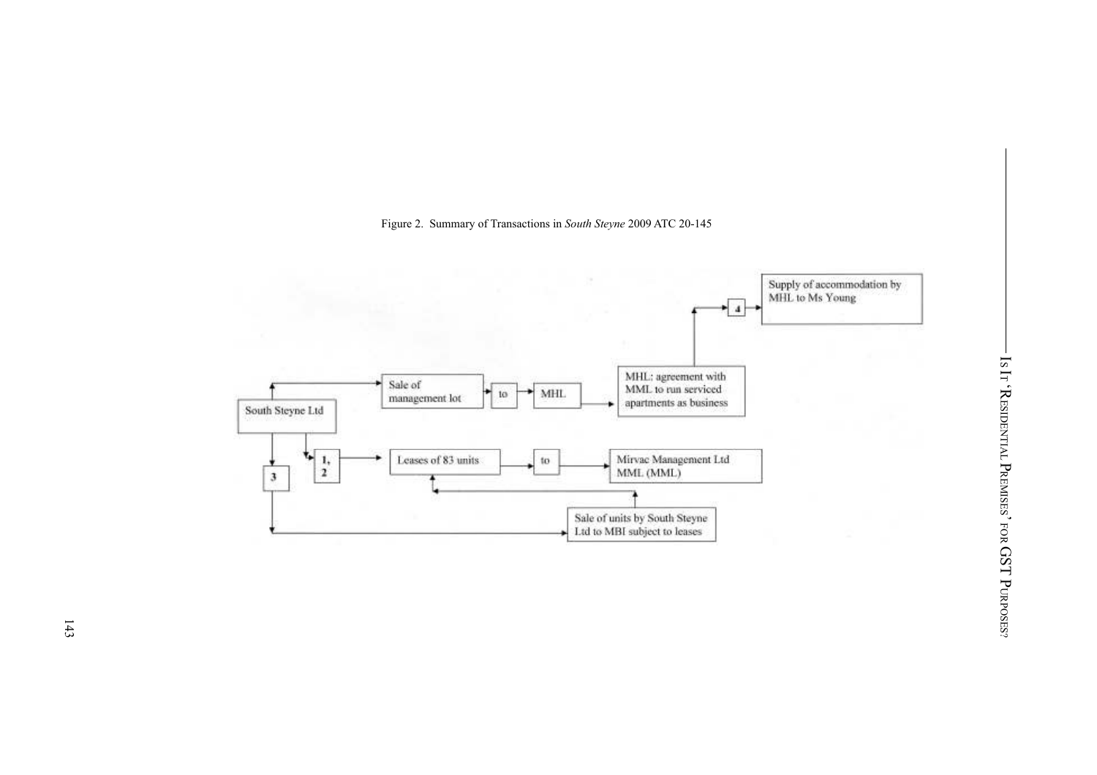Figure 2. Summary of Transactions in *South Steyne* 2009 ATC 20-145

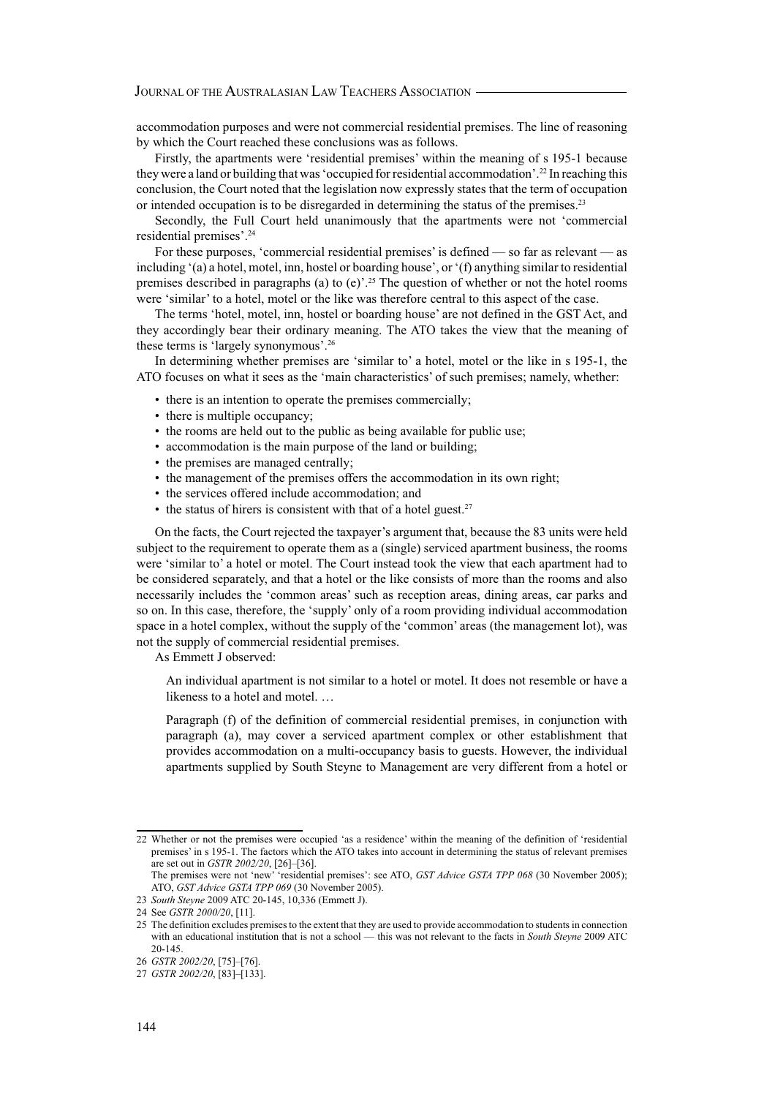accommodation purposes and were not commercial residential premises. The line of reasoning by which the Court reached these conclusions was as follows.

Firstly, the apartments were 'residential premises' within the meaning of s 195-1 because they were a land or building that was 'occupied for residential accommodation'.<sup>22</sup> In reaching this conclusion, the Court noted that the legislation now expressly states that the term of occupation or intended occupation is to be disregarded in determining the status of the premises.<sup>23</sup>

Secondly, the Full Court held unanimously that the apartments were not 'commercial residential premises'.<sup>24</sup>

For these purposes, 'commercial residential premises' is defined — so far as relevant — as including '(a) a hotel, motel, inn, hostel or boarding house', or '(f) anything similar to residential premises described in paragraphs (a) to (e)'.<sup>25</sup> The question of whether or not the hotel rooms were 'similar' to a hotel, motel or the like was therefore central to this aspect of the case.

The terms 'hotel, motel, inn, hostel or boarding house' are not defined in the GST Act, and they accordingly bear their ordinary meaning. The ATO takes the view that the meaning of these terms is 'largely synonymous'.<sup>26</sup>

In determining whether premises are 'similar to' a hotel, motel or the like in s 195-1, the ATO focuses on what it sees as the 'main characteristics' of such premises; namely, whether:

- there is an intention to operate the premises commercially;
- there is multiple occupancy;
- the rooms are held out to the public as being available for public use;
- accommodation is the main purpose of the land or building;
- the premises are managed centrally;
- the management of the premises offers the accommodation in its own right;
- the services offered include accommodation; and
- $\bullet$  the status of hirers is consistent with that of a hotel guest.<sup>27</sup>

On the facts, the Court rejected the taxpayer's argument that, because the 83 units were held subject to the requirement to operate them as a (single) serviced apartment business, the rooms were 'similar to' a hotel or motel. The Court instead took the view that each apartment had to be considered separately, and that a hotel or the like consists of more than the rooms and also necessarily includes the 'common areas' such as reception areas, dining areas, car parks and so on. In this case, therefore, the 'supply' only of a room providing individual accommodation space in a hotel complex, without the supply of the 'common' areas (the management lot), was not the supply of commercial residential premises.

As Emmett J observed:

An individual apartment is not similar to a hotel or motel. It does not resemble or have a likeness to a hotel and motel. …

Paragraph (f) of the definition of commercial residential premises, in conjunction with paragraph (a), may cover a serviced apartment complex or other establishment that provides accommodation on a multi-occupancy basis to guests. However, the individual apartments supplied by South Steyne to Management are very different from a hotel or

<sup>22</sup> Whether or not the premises were occupied 'as a residence' within the meaning of the definition of 'residential premises' in s 195-1. The factors which the ATO takes into account in determining the status of relevant premises are set out in *GSTR 2002/20*, [26]–[36].

The premises were not 'new' 'residential premises': see ATO, *GST Advice GSTA TPP 068* (30 November 2005); ATO, *GST Advice GSTA TPP 069* (30 November 2005).

<sup>23</sup> *South Steyne* 2009 ATC 20-145, 10,336 (Emmett J).

<sup>24</sup> See *GSTR 2000/20*, [11].

<sup>25</sup> The definition excludes premises to the extent that they are used to provide accommodation to students in connection with an educational institution that is not a school — this was not relevant to the facts in *South Steyne* 2009 ATC 20-145.

<sup>26</sup> *GSTR 2002/20*, [75]–[76].

<sup>27</sup> *GSTR 2002/20*, [83]–[133].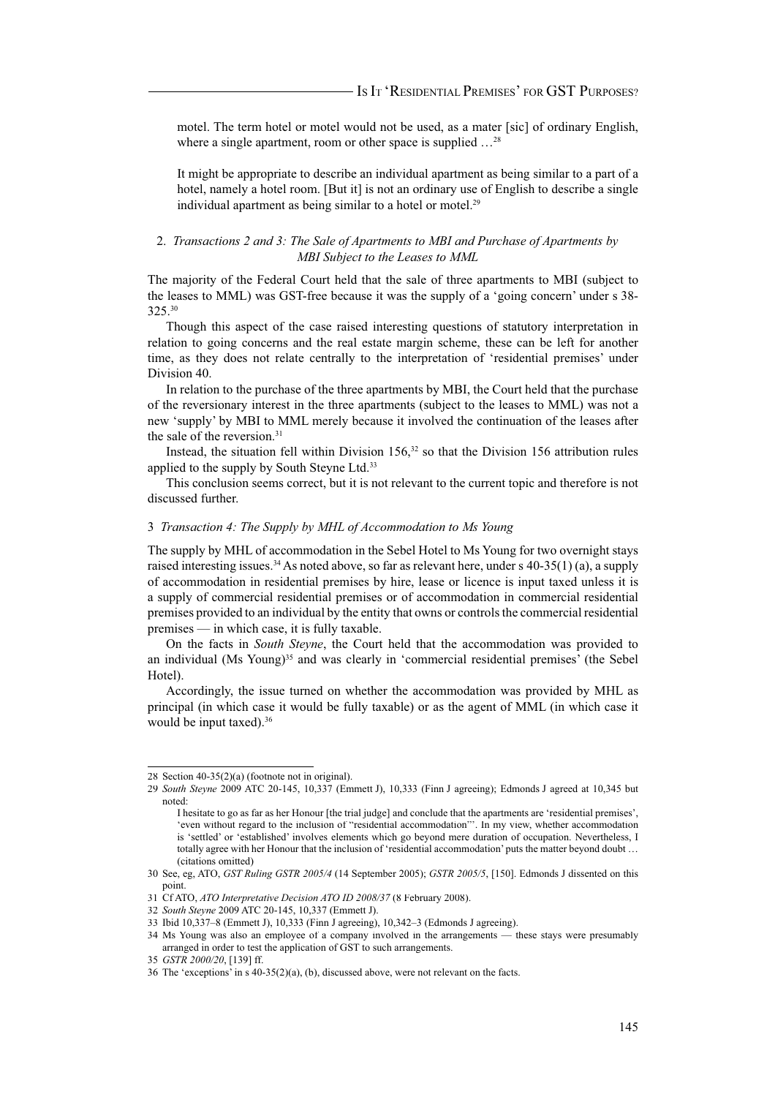motel. The term hotel or motel would not be used, as a mater [sic] of ordinary English, where a single apartment, room or other space is supplied  $\ldots^{28}$ 

It might be appropriate to describe an individual apartment as being similar to a part of a hotel, namely a hotel room. [But it] is not an ordinary use of English to describe a single individual apartment as being similar to a hotel or motel.<sup>29</sup>

#### 2. *Transactions 2 and 3: The Sale of Apartments to MBI and Purchase of Apartments by MBI Subject to the Leases to MML*

The majority of the Federal Court held that the sale of three apartments to MBI (subject to the leases to MML) was GST-free because it was the supply of a 'going concern' under s 38- 325.<sup>30</sup>

Though this aspect of the case raised interesting questions of statutory interpretation in relation to going concerns and the real estate margin scheme, these can be left for another time, as they does not relate centrally to the interpretation of 'residential premises' under Division 40.

In relation to the purchase of the three apartments by MBI, the Court held that the purchase of the reversionary interest in the three apartments (subject to the leases to MML) was not a new 'supply' by MBI to MML merely because it involved the continuation of the leases after the sale of the reversion.<sup>31</sup>

Instead, the situation fell within Division  $156$ ,<sup>32</sup> so that the Division 156 attribution rules applied to the supply by South Steyne Ltd.<sup>33</sup>

This conclusion seems correct, but it is not relevant to the current topic and therefore is not discussed further.

#### 3 *Transaction 4: The Supply by MHL of Accommodation to Ms Young*

The supply by MHL of accommodation in the Sebel Hotel to Ms Young for two overnight stays raised interesting issues.<sup>34</sup> As noted above, so far as relevant here, under s  $40-35(1)$  (a), a supply of accommodation in residential premises by hire, lease or licence is input taxed unless it is a supply of commercial residential premises or of accommodation in commercial residential premises provided to an individual by the entity that owns or controls the commercial residential premises — in which case, it is fully taxable.

On the facts in *South Steyne*, the Court held that the accommodation was provided to an individual (Ms Young)<sup>35</sup> and was clearly in 'commercial residential premises' (the Sebel Hotel).

Accordingly, the issue turned on whether the accommodation was provided by MHL as principal (in which case it would be fully taxable) or as the agent of MML (in which case it would be input taxed).<sup>36</sup>

<sup>28</sup> Section 40-35(2)(a) (footnote not in original).

<sup>29</sup> *South Steyne* 2009 ATC 20-145, 10,337 (Emmett J), 10,333 (Finn J agreeing); Edmonds J agreed at 10,345 but noted:

I hesitate to go as far as her Honour [the trial judge] and conclude that the apartments are 'residential premises', 'even without regard to the inclusion of "residential accommodation"'. In my view, whether accommodation is 'settled' or 'established' involves elements which go beyond mere duration of occupation. Nevertheless, I totally agree with her Honour that the inclusion of 'residential accommodation' puts the matter beyond doubt … (citations omitted)

<sup>30</sup> See, eg, ATO, *GST Ruling GSTR 2005/4* (14 September 2005); *GSTR 2005/5*, [150]. Edmonds J dissented on this point.

<sup>31</sup> Cf ATO, *ATO Interpretative Decision ATO ID 2008/37* (8 February 2008).

<sup>32</sup> *South Steyne* 2009 ATC 20-145, 10,337 (Emmett J).

<sup>33</sup> Ibid 10,337–8 (Emmett J), 10,333 (Finn J agreeing), 10,342–3 (Edmonds J agreeing).

<sup>34</sup> Ms Young was also an employee of a company involved in the arrangements — these stays were presumably arranged in order to test the application of GST to such arrangements.

<sup>35</sup> *GSTR 2000/20*, [139] ff.

<sup>36</sup> The 'exceptions' in s 40-35(2)(a), (b), discussed above, were not relevant on the facts.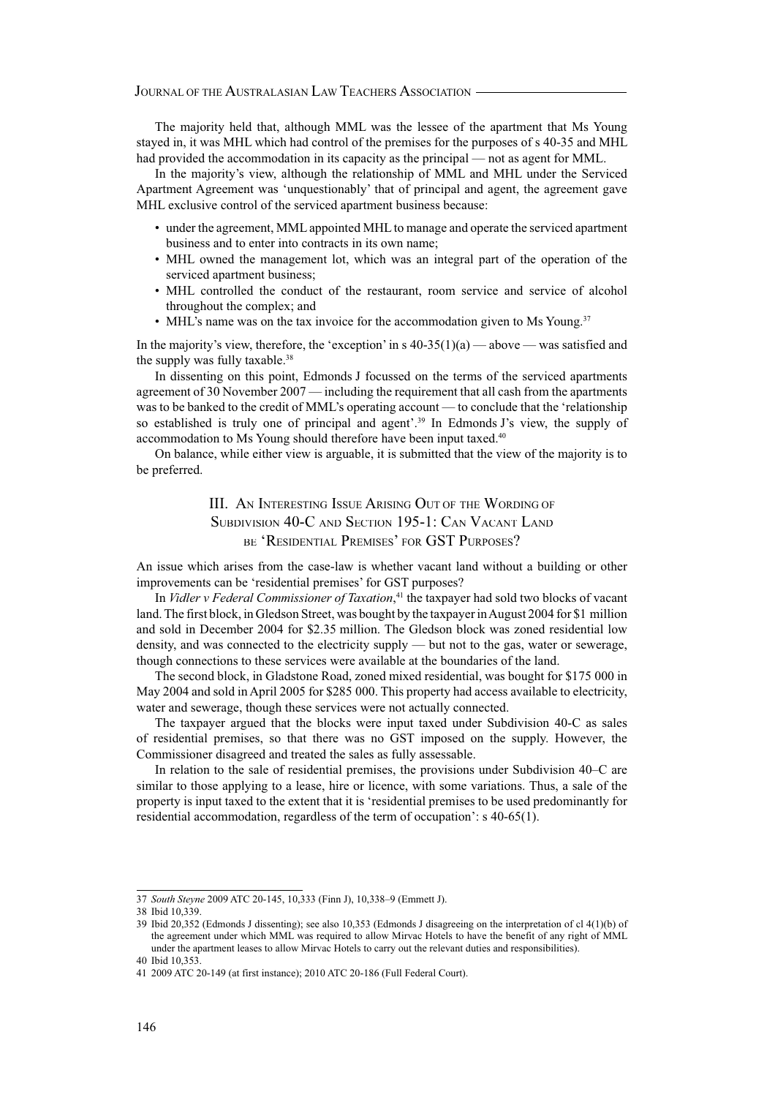The majority held that, although MML was the lessee of the apartment that Ms Young stayed in, it was MHL which had control of the premises for the purposes of s 40-35 and MHL had provided the accommodation in its capacity as the principal — not as agent for MML.

In the majority's view, although the relationship of MML and MHL under the Serviced Apartment Agreement was 'unquestionably' that of principal and agent, the agreement gave MHL exclusive control of the serviced apartment business because:

- under the agreement, MML appointed MHL to manage and operate the serviced apartment business and to enter into contracts in its own name;
- MHL owned the management lot, which was an integral part of the operation of the serviced apartment business;
- MHL controlled the conduct of the restaurant, room service and service of alcohol throughout the complex; and
- MHL's name was on the tax invoice for the accommodation given to Ms Young.<sup>37</sup>

In the majority's view, therefore, the 'exception' in s  $40-35(1)(a)$  — above — was satisfied and the supply was fully taxable.<sup>38</sup>

In dissenting on this point, Edmonds J focussed on the terms of the serviced apartments agreement of 30 November 2007 — including the requirement that all cash from the apartments was to be banked to the credit of MML's operating account — to conclude that the 'relationship so established is truly one of principal and agent'.<sup>39</sup> In Edmonds J's view, the supply of accommodation to Ms Young should therefore have been input taxed.<sup>40</sup>

On balance, while either view is arguable, it is submitted that the view of the majority is to be preferred.

> III. AN INTERESTING ISSUE ARISING OUT OF THE WORDING OF SUBDIVISION 40-C AND SECTION 195-1: CAN VACANT LAND BE 'RESIDENTIAL PREMISES' FOR GST PURPOSES?

An issue which arises from the case-law is whether vacant land without a building or other improvements can be 'residential premises' for GST purposes?

In *Vidler v Federal Commissioner of Taxation*, <sup>41</sup> the taxpayer had sold two blocks of vacant land. The first block, in Gledson Street, was bought by the taxpayer in August 2004 for \$1 million and sold in December 2004 for \$2.35 million. The Gledson block was zoned residential low density, and was connected to the electricity supply — but not to the gas, water or sewerage, though connections to these services were available at the boundaries of the land.

The second block, in Gladstone Road, zoned mixed residential, was bought for \$175 000 in May 2004 and sold in April 2005 for \$285 000. This property had access available to electricity, water and sewerage, though these services were not actually connected.

The taxpayer argued that the blocks were input taxed under Subdivision 40-C as sales of residential premises, so that there was no GST imposed on the supply. However, the Commissioner disagreed and treated the sales as fully assessable.

In relation to the sale of residential premises, the provisions under Subdivision 40–C are similar to those applying to a lease, hire or licence, with some variations. Thus, a sale of the property is input taxed to the extent that it is 'residential premises to be used predominantly for residential accommodation, regardless of the term of occupation': s 40-65(1).

<sup>37</sup> *South Steyne* 2009 ATC 20-145, 10,333 (Finn J), 10,338–9 (Emmett J).

<sup>38</sup> Ibid 10,339.

<sup>39</sup> Ibid 20,352 (Edmonds J dissenting); see also 10,353 (Edmonds J disagreeing on the interpretation of cl 4(1)(b) of the agreement under which MML was required to allow Mirvac Hotels to have the benefit of any right of MML under the apartment leases to allow Mirvac Hotels to carry out the relevant duties and responsibilities).

<sup>40</sup> Ibid 10,353.

<sup>41 2009</sup> ATC 20-149 (at first instance); 2010 ATC 20-186 (Full Federal Court).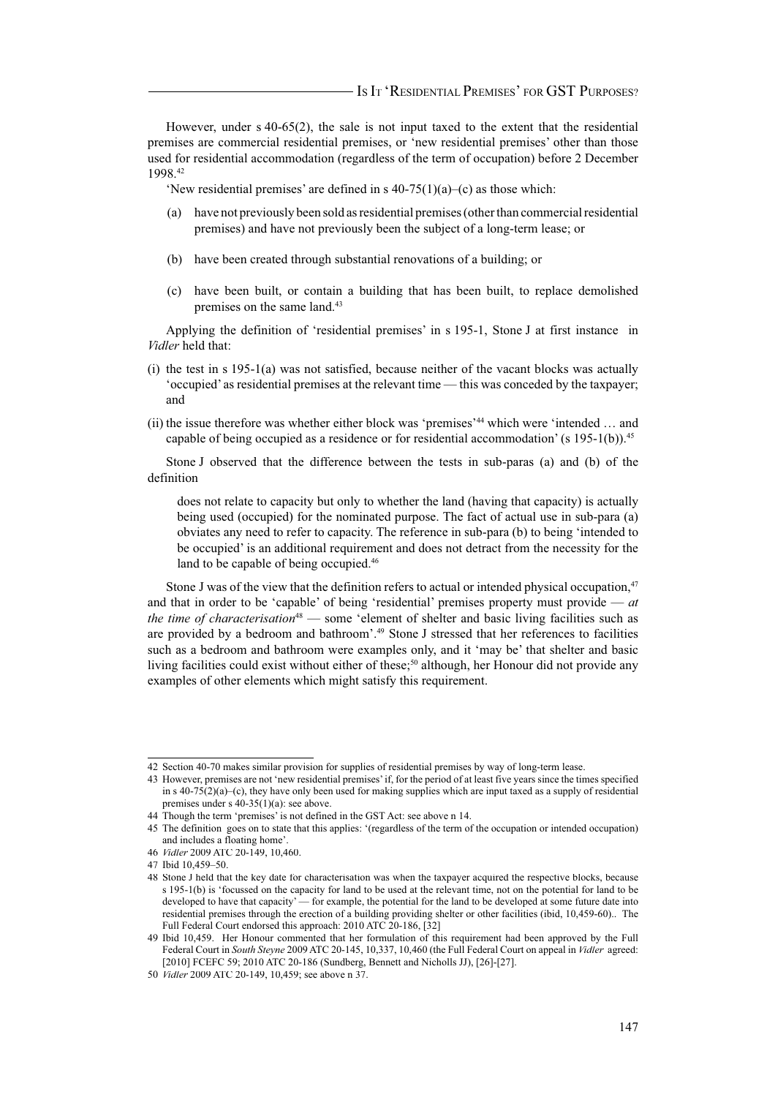However, under s 40-65(2), the sale is not input taxed to the extent that the residential premises are commercial residential premises, or 'new residential premises' other than those used for residential accommodation (regardless of the term of occupation) before 2 December 1998.<sup>42</sup>

'New residential premises' are defined in s  $40-75(1)(a)$ –(c) as those which:

- (a) have not previously been sold as residential premises (other than commercial residential premises) and have not previously been the subject of a long-term lease; or
- (b) have been created through substantial renovations of a building; or
- (c) have been built, or contain a building that has been built, to replace demolished premises on the same land.<sup>43</sup>

Applying the definition of 'residential premises' in s 195-1, Stone J at first instance in *Vidler* held that:

- (i) the test in s 195-1(a) was not satisfied, because neither of the vacant blocks was actually 'occupied' as residential premises at the relevant time — this was conceded by the taxpayer; and
- (ii) the issue therefore was whether either block was 'premises'<sup>44</sup> which were 'intended … and capable of being occupied as a residence or for residential accommodation' (s 195-1(b)).<sup>45</sup>

Stone J observed that the difference between the tests in sub-paras (a) and (b) of the definition

does not relate to capacity but only to whether the land (having that capacity) is actually being used (occupied) for the nominated purpose. The fact of actual use in sub-para (a) obviates any need to refer to capacity. The reference in sub-para (b) to being 'intended to be occupied' is an additional requirement and does not detract from the necessity for the land to be capable of being occupied.<sup>46</sup>

Stone J was of the view that the definition refers to actual or intended physical occupation, $47$ and that in order to be 'capable' of being 'residential' premises property must provide — *at the time of characterisation*<sup>48</sup> — some 'element of shelter and basic living facilities such as are provided by a bedroom and bathroom'.<sup>49</sup> Stone J stressed that her references to facilities such as a bedroom and bathroom were examples only, and it 'may be' that shelter and basic living facilities could exist without either of these;<sup>50</sup> although, her Honour did not provide any examples of other elements which might satisfy this requirement.

<sup>42</sup> Section 40-70 makes similar provision for supplies of residential premises by way of long-term lease.

<sup>43</sup> However, premises are not 'new residential premises' if, for the period of at least five years since the times specified in s  $40-75(2)(a)-(c)$ , they have only been used for making supplies which are input taxed as a supply of residential premises under s 40-35(1)(a): see above.

<sup>44</sup> Though the term 'premises' is not defined in the GST Act: see above n 14.

<sup>45</sup> The definition goes on to state that this applies: '(regardless of the term of the occupation or intended occupation) and includes a floating home'.

<sup>46</sup> *Vidler* 2009 ATC 20-149, 10,460.

<sup>47</sup> Ibid 10,459–50.

<sup>48</sup> Stone J held that the key date for characterisation was when the taxpayer acquired the respective blocks, because s 195-1(b) is 'focussed on the capacity for land to be used at the relevant time, not on the potential for land to be developed to have that capacity' — for example, the potential for the land to be developed at some future date into residential premises through the erection of a building providing shelter or other facilities (ibid, 10,459-60).. The Full Federal Court endorsed this approach: 2010 ATC 20-186, [32]

<sup>49</sup> Ibid 10,459. Her Honour commented that her formulation of this requirement had been approved by the Full Federal Court in *South Steyne* 2009 ATC 20-145, 10,337, 10,460 (the Full Federal Court on appeal in *Vidler* agreed: [2010] FCEFC 59; 2010 ATC 20-186 (Sundberg, Bennett and Nicholls JJ), [26]-[27].

<sup>50</sup> *Vidler* 2009 ATC 20-149, 10,459; see above n 37.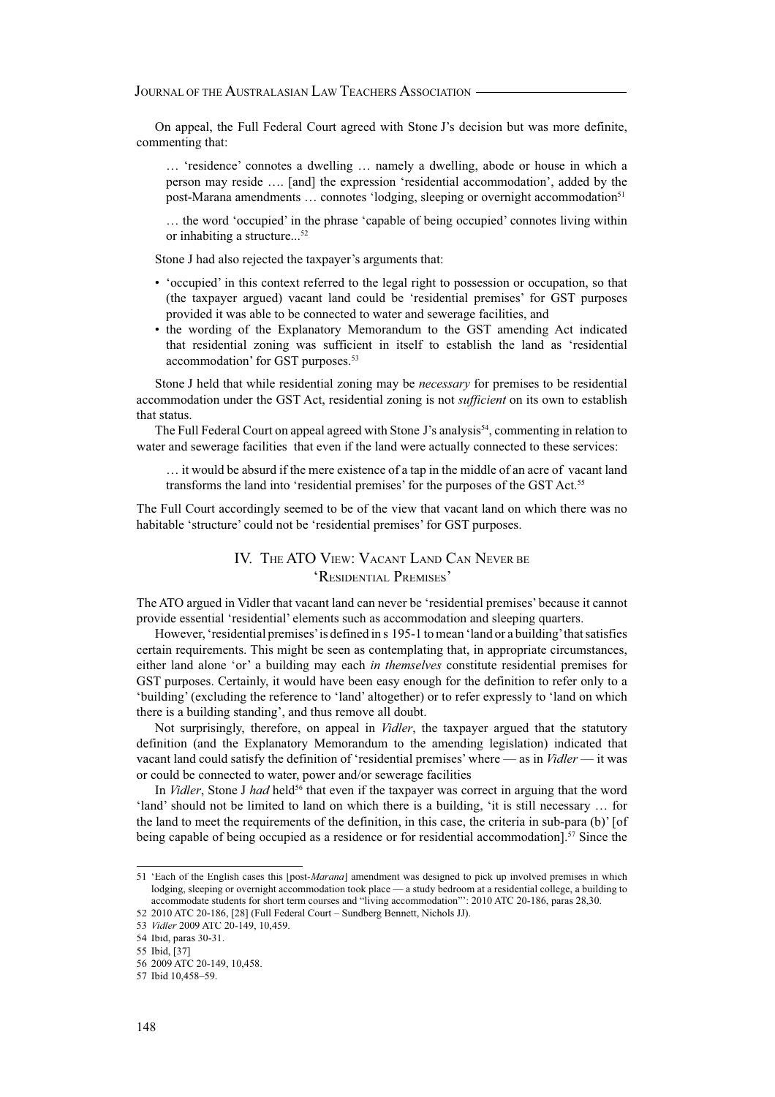On appeal, the Full Federal Court agreed with Stone J's decision but was more definite, commenting that:

… 'residence' connotes a dwelling … namely a dwelling, abode or house in which a person may reside …. [and] the expression 'residential accommodation', added by the post-Marana amendments ... connotes 'lodging, sleeping or overnight accommodation<sup>51</sup>

… the word 'occupied' in the phrase 'capable of being occupied' connotes living within or inhabiting a structure...<sup>52</sup>

Stone J had also rejected the taxpayer's arguments that:

- 'occupied' in this context referred to the legal right to possession or occupation, so that (the taxpayer argued) vacant land could be 'residential premises' for GST purposes provided it was able to be connected to water and sewerage facilities, and
- the wording of the Explanatory Memorandum to the GST amending Act indicated that residential zoning was sufficient in itself to establish the land as 'residential accommodation' for GST purposes.<sup>53</sup>

Stone J held that while residential zoning may be *necessary* for premises to be residential accommodation under the GST Act, residential zoning is not *sufficient* on its own to establish that status.

The Full Federal Court on appeal agreed with Stone J's analysis<sup>54</sup>, commenting in relation to water and sewerage facilities that even if the land were actually connected to these services:

… it would be absurd if the mere existence of a tap in the middle of an acre of vacant land transforms the land into 'residential premises' for the purposes of the GST Act.<sup>55</sup>

The Full Court accordingly seemed to be of the view that vacant land on which there was no habitable 'structure' could not be 'residential premises' for GST purposes.

## IV. THE ATO VIEW: VACANT LAND CAN NEVER BE 'RESIDENTIAL PREMISES'

The ATO argued in Vidler that vacant land can never be 'residential premises' because it cannot provide essential 'residential' elements such as accommodation and sleeping quarters.

However, 'residential premises' is defined in s 195-1 to mean 'land or a building' that satisfies certain requirements. This might be seen as contemplating that, in appropriate circumstances, either land alone 'or' a building may each *in themselves* constitute residential premises for GST purposes. Certainly, it would have been easy enough for the definition to refer only to a 'building' (excluding the reference to 'land' altogether) or to refer expressly to 'land on which there is a building standing', and thus remove all doubt.

Not surprisingly, therefore, on appeal in *Vidler*, the taxpayer argued that the statutory definition (and the Explanatory Memorandum to the amending legislation) indicated that vacant land could satisfy the definition of 'residential premises' where — as in *Vidler* — it was or could be connected to water, power and/or sewerage facilities

In *Vidler*, Stone J had held<sup>56</sup> that even if the taxpayer was correct in arguing that the word 'land' should not be limited to land on which there is a building, 'it is still necessary … for the land to meet the requirements of the definition, in this case, the criteria in sub-para (b)' [of being capable of being occupied as a residence or for residential accommodation].<sup>57</sup> Since the

<sup>51 &#</sup>x27;Each of the English cases this [post-*Marana*] amendment was designed to pick up involved premises in which lodging, sleeping or overnight accommodation took place — a study bedroom at a residential college, a building to accommodate students for short term courses and "living accommodation"': 2010 ATC 20-186, paras 28,30.

<sup>52 2010</sup> ATC 20-186, [28] (Full Federal Court – Sundberg Bennett, Nichols JJ).

<sup>53</sup> *Vidler* 2009 ATC 20-149, 10,459.

<sup>54</sup> Ibid, paras 30-31.

<sup>55</sup> Ibid, [37]

<sup>56 2009</sup> ATC 20-149, 10,458.

<sup>57</sup> Ibid 10,458–59.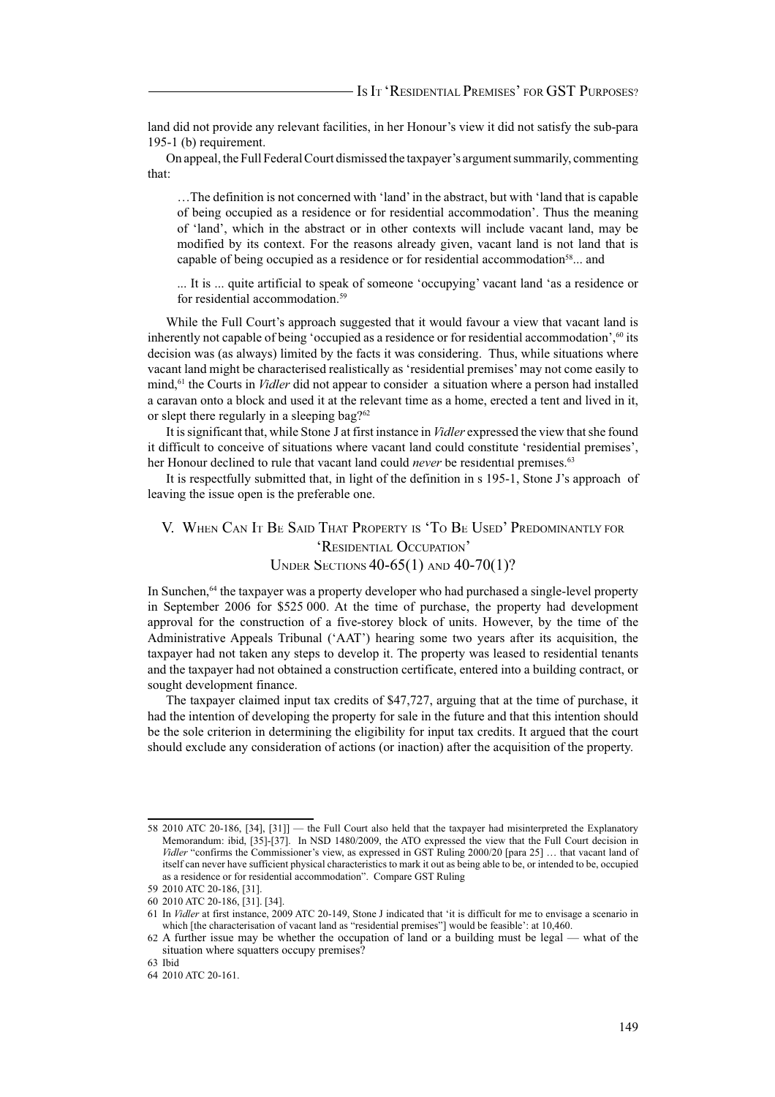land did not provide any relevant facilities, in her Honour's view it did not satisfy the sub-para 195-1 (b) requirement.

On appeal, the Full Federal Court dismissed the taxpayer's argument summarily, commenting that:

…The definition is not concerned with 'land' in the abstract, but with 'land that is capable of being occupied as a residence or for residential accommodation'. Thus the meaning of 'land', which in the abstract or in other contexts will include vacant land, may be modified by its context. For the reasons already given, vacant land is not land that is capable of being occupied as a residence or for residential accommodation<sup>58</sup> $\dots$  and

... It is ... quite artificial to speak of someone 'occupying' vacant land 'as a residence or for residential accommodation.<sup>59</sup>

While the Full Court's approach suggested that it would favour a view that vacant land is inherently not capable of being 'occupied as a residence or for residential accommodation',<sup>60</sup> its decision was (as always) limited by the facts it was considering. Thus, while situations where vacant land might be characterised realistically as 'residential premises' may not come easily to mind,<sup>61</sup> the Courts in *Vidler* did not appear to consider a situation where a person had installed a caravan onto a block and used it at the relevant time as a home, erected a tent and lived in it, or slept there regularly in a sleeping bag?<sup>62</sup>

It is significant that, while Stone J at first instance in *Vidler* expressed the view that she found it difficult to conceive of situations where vacant land could constitute 'residential premises', her Honour declined to rule that vacant land could *never* be residential premises.<sup>63</sup>

It is respectfully submitted that, in light of the definition in s 195-1, Stone J's approach of leaving the issue open is the preferable one.

# V. WHEN CAN IT BE SAID THAT PROPERTY IS 'TO BE USED' PREDOMINANTLY FOR 'RESIDENTIAL OCCUPATION' UNDER SECTIONS 40-65(1) AND 40-70(1)?

In Sunchen,<sup>64</sup> the taxpayer was a property developer who had purchased a single-level property in September 2006 for \$525 000. At the time of purchase, the property had development approval for the construction of a five-storey block of units. However, by the time of the Administrative Appeals Tribunal ('AAT') hearing some two years after its acquisition, the taxpayer had not taken any steps to develop it. The property was leased to residential tenants and the taxpayer had not obtained a construction certificate, entered into a building contract, or sought development finance.

The taxpayer claimed input tax credits of \$47,727, arguing that at the time of purchase, it had the intention of developing the property for sale in the future and that this intention should be the sole criterion in determining the eligibility for input tax credits. It argued that the court should exclude any consideration of actions (or inaction) after the acquisition of the property.

<sup>58 2010</sup> ATC 20-186, [34], [31]] — the Full Court also held that the taxpayer had misinterpreted the Explanatory Memorandum: ibid, [35]-[37]. In NSD 1480/2009, the ATO expressed the view that the Full Court decision in *Vidler* "confirms the Commissioner's view, as expressed in GST Ruling 2000/20 [para 25] ... that vacant land of itself can never have sufficient physical characteristics to mark it out as being able to be, or intended to be, occupied as a residence or for residential accommodation". Compare GST Ruling

<sup>59 2010</sup> ATC 20-186, [31].

<sup>60 2010</sup> ATC 20-186, [31]. [34].

<sup>61</sup> In *Vidler* at first instance, 2009 ATC 20-149, Stone J indicated that 'it is difficult for me to envisage a scenario in which [the characterisation of vacant land as "residential premises"] would be feasible': at 10.460.

<sup>62</sup> A further issue may be whether the occupation of land or a building must be legal — what of the situation where squatters occupy premises?

<sup>63</sup> Ibid

<sup>64 2010</sup> ATC 20-161.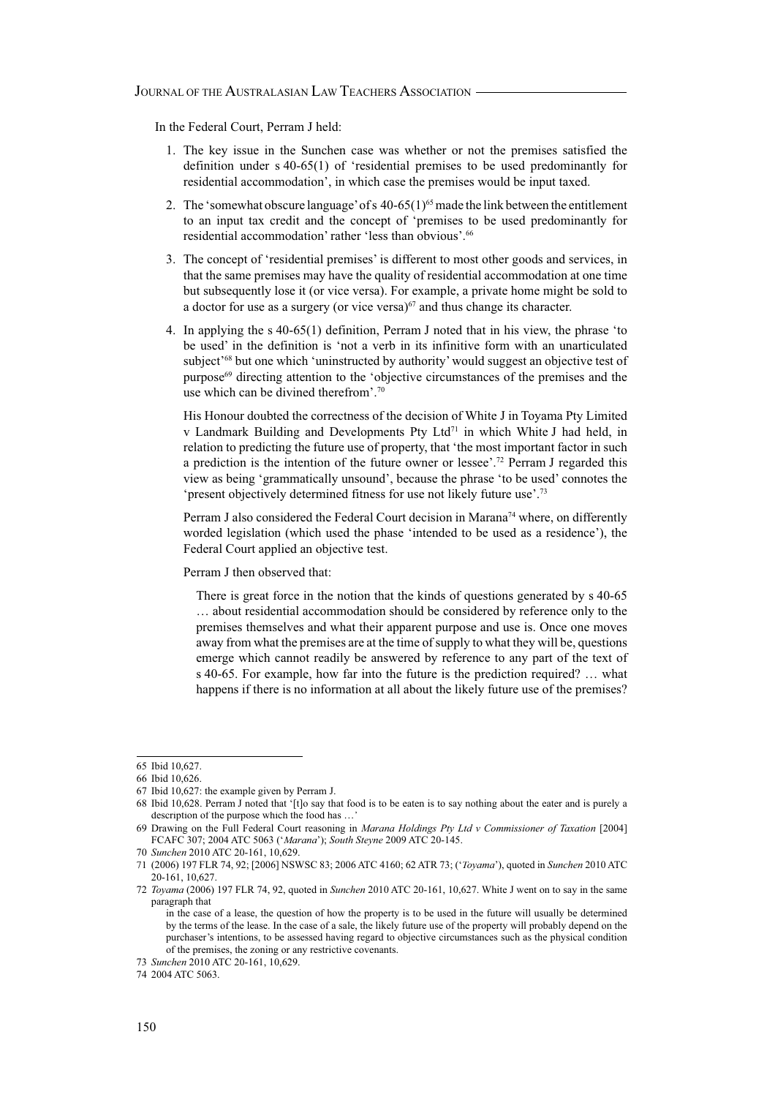In the Federal Court, Perram J held:

- 1. The key issue in the Sunchen case was whether or not the premises satisfied the definition under s 40-65(1) of 'residential premises to be used predominantly for residential accommodation', in which case the premises would be input taxed.
- 2. The 'somewhat obscure language' of s  $40-65(1)^{65}$  made the link between the entitlement to an input tax credit and the concept of 'premises to be used predominantly for residential accommodation' rather 'less than obvious'.<sup>66</sup>
- 3. The concept of 'residential premises' is different to most other goods and services, in that the same premises may have the quality of residential accommodation at one time but subsequently lose it (or vice versa). For example, a private home might be sold to a doctor for use as a surgery (or vice versa) $67$  and thus change its character.
- 4. In applying the s 40-65(1) definition, Perram J noted that in his view, the phrase 'to be used' in the definition is 'not a verb in its infinitive form with an unarticulated subject<sup>'68</sup> but one which 'uninstructed by authority' would suggest an objective test of purpose<sup>69</sup> directing attention to the 'objective circumstances of the premises and the use which can be divined therefrom'.<sup>70</sup>

 His Honour doubted the correctness of the decision of White J in Toyama Pty Limited v Landmark Building and Developments Pty Ltd<sup>71</sup> in which White J had held, in relation to predicting the future use of property, that 'the most important factor in such a prediction is the intention of the future owner or lessee'.<sup>72</sup> Perram J regarded this view as being 'grammatically unsound', because the phrase 'to be used' connotes the 'present objectively determined fitness for use not likely future use'.<sup>73</sup>

Perram J also considered the Federal Court decision in Marana<sup>74</sup> where, on differently worded legislation (which used the phase 'intended to be used as a residence'), the Federal Court applied an objective test.

Perram J then observed that:

 There is great force in the notion that the kinds of questions generated by s 40-65 … about residential accommodation should be considered by reference only to the premises themselves and what their apparent purpose and use is. Once one moves away from what the premises are at the time of supply to what they will be, questions emerge which cannot readily be answered by reference to any part of the text of s 40-65. For example, how far into the future is the prediction required? … what happens if there is no information at all about the likely future use of the premises?

<sup>65</sup> Ibid 10,627.

<sup>66</sup> Ibid 10,626.

<sup>67</sup> Ibid 10,627: the example given by Perram J.

<sup>68</sup> Ibid 10,628. Perram J noted that '[t]o say that food is to be eaten is to say nothing about the eater and is purely a description of the purpose which the food has …'

<sup>69</sup> Drawing on the Full Federal Court reasoning in *Marana Holdings Pty Ltd v Commissioner of Taxation* [2004] FCAFC 307; 2004 ATC 5063 ('*Marana*'); *South Steyne* 2009 ATC 20-145.

<sup>70</sup> *Sunchen* 2010 ATC 20-161, 10,629.

<sup>71 (2006) 197</sup> FLR 74, 92; [2006] NSWSC 83; 2006 ATC 4160; 62 ATR 73; ('*Toyama*'), quoted in *Sunchen* 2010 ATC 20-161, 10,627.

<sup>72</sup> *Toyama* (2006) 197 FLR 74, 92, quoted in *Sunchen* 2010 ATC 20-161, 10,627. White J went on to say in the same paragraph that

in the case of a lease, the question of how the property is to be used in the future will usually be determined by the terms of the lease. In the case of a sale, the likely future use of the property will probably depend on the purchaser's intentions, to be assessed having regard to objective circumstances such as the physical condition of the premises, the zoning or any restrictive covenants.

<sup>73</sup> *Sunchen* 2010 ATC 20-161, 10,629.

<sup>74 2004</sup> ATC 5063.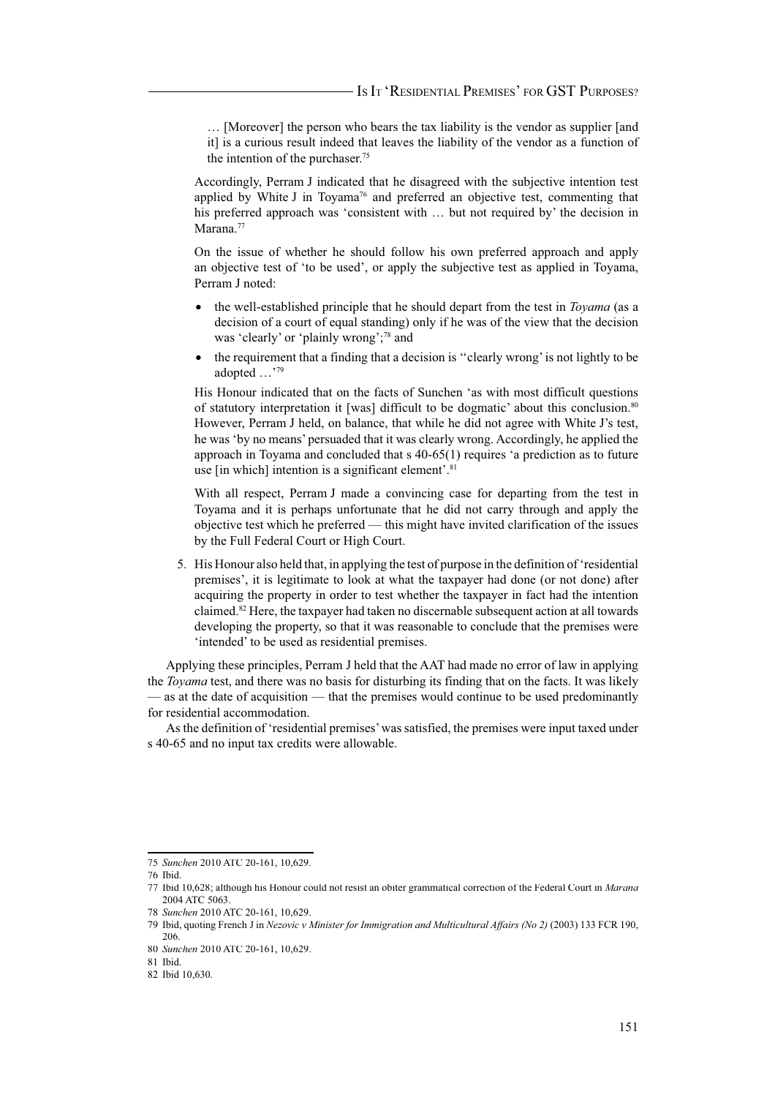… [Moreover] the person who bears the tax liability is the vendor as supplier [and it] is a curious result indeed that leaves the liability of the vendor as a function of the intention of the purchaser.<sup>75</sup>

 Accordingly, Perram J indicated that he disagreed with the subjective intention test applied by White J in Toyama<sup>76</sup> and preferred an objective test, commenting that his preferred approach was 'consistent with … but not required by' the decision in Marana.<sup>77</sup>

 On the issue of whether he should follow his own preferred approach and apply an objective test of 'to be used', or apply the subjective test as applied in Toyama, Perram J noted:

- the well-established principle that he should depart from the test in *Toyama* (as a decision of a court of equal standing) only if he was of the view that the decision was 'clearly' or 'plainly wrong';<sup>78</sup> and
- the requirement that a finding that a decision is ''clearly wrong' is not lightly to be adopted …'<sup>79</sup>

His Honour indicated that on the facts of Sunchen 'as with most difficult questions of statutory interpretation it [was] difficult to be dogmatic' about this conclusion.<sup>80</sup> However, Perram J held, on balance, that while he did not agree with White J's test, he was 'by no means' persuaded that it was clearly wrong. Accordingly, he applied the approach in Toyama and concluded that s 40-65(1) requires 'a prediction as to future use [in which] intention is a significant element'.<sup>81</sup>

 With all respect, Perram J made a convincing case for departing from the test in Toyama and it is perhaps unfortunate that he did not carry through and apply the objective test which he preferred — this might have invited clarification of the issues by the Full Federal Court or High Court.

5. His Honour also held that, in applying the test of purpose in the definition of 'residential premises', it is legitimate to look at what the taxpayer had done (or not done) after acquiring the property in order to test whether the taxpayer in fact had the intention claimed.<sup>82</sup> Here, the taxpayer had taken no discernable subsequent action at all towards developing the property, so that it was reasonable to conclude that the premises were 'intended' to be used as residential premises.

Applying these principles, Perram J held that the AAT had made no error of law in applying the *Toyama* test, and there was no basis for disturbing its finding that on the facts. It was likely — as at the date of acquisition — that the premises would continue to be used predominantly for residential accommodation.

As the definition of 'residential premises' was satisfied, the premises were input taxed under s 40-65 and no input tax credits were allowable.

<sup>75</sup> *Sunchen* 2010 ATC 20-161, 10,629.

<sup>76</sup> Ibid.

<sup>77</sup> Ibid 10,628; although his Honour could not resist an obiter grammatical correction of the Federal Court in *Marana* 2004 ATC 5063.

<sup>78</sup> *Sunchen* 2010 ATC 20-161, 10,629.

<sup>79</sup> Ibid, quoting French J in *Nezovic v Minister for Immigration and Multicultural Affairs (No 2)* (2003) 133 FCR 190, 206.

<sup>80</sup> *Sunchen* 2010 ATC 20-161, 10,629.

<sup>81</sup> Ibid.

<sup>82</sup> Ibid 10,630.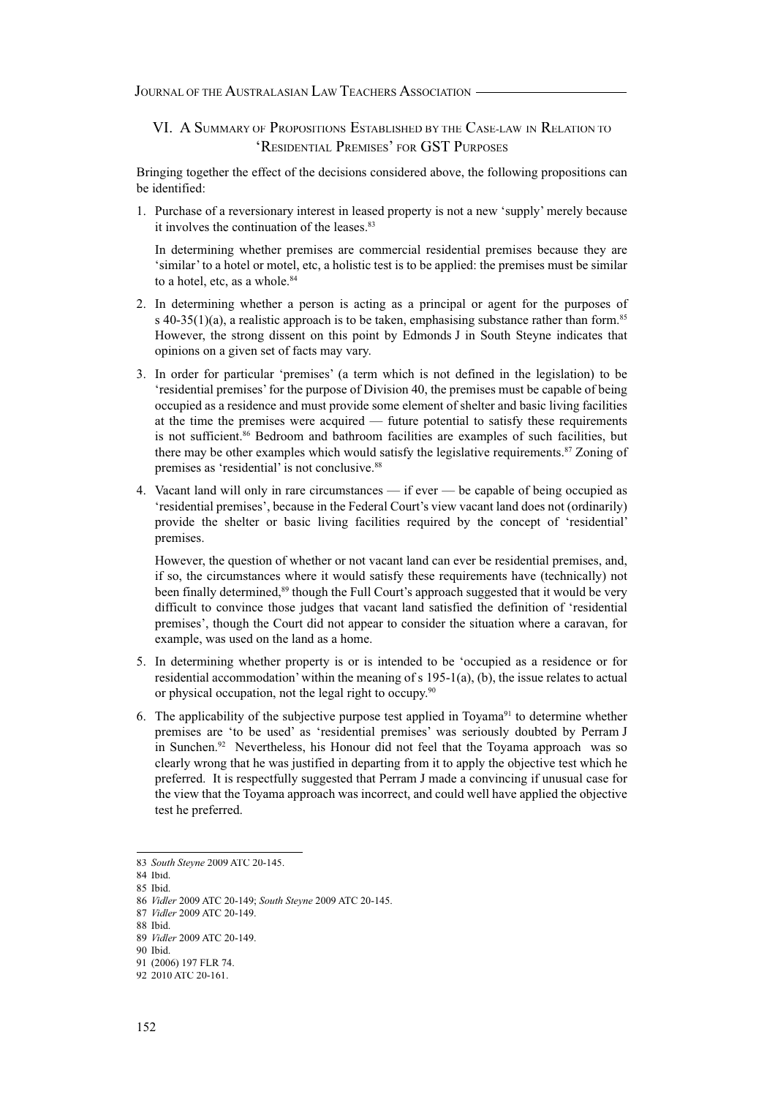VI. A SUMMARY OF PROPOSITIONS ESTABLISHED BY THE CASE-LAW IN RELATION TO 'RESIDENTIAL PREMISES' FOR GST PURPOSES

Bringing together the effect of the decisions considered above, the following propositions can be identified:

1. Purchase of a reversionary interest in leased property is not a new 'supply' merely because it involves the continuation of the leases.<sup>83</sup>

 In determining whether premises are commercial residential premises because they are 'similar' to a hotel or motel, etc, a holistic test is to be applied: the premises must be similar to a hotel, etc, as a whole.<sup>84</sup>

- 2. In determining whether a person is acting as a principal or agent for the purposes of s 40-35(1)(a), a realistic approach is to be taken, emphasising substance rather than form.<sup>85</sup> However, the strong dissent on this point by Edmonds J in South Steyne indicates that opinions on a given set of facts may vary.
- 3. In order for particular 'premises' (a term which is not defined in the legislation) to be 'residential premises' for the purpose of Division 40, the premises must be capable of being occupied as a residence and must provide some element of shelter and basic living facilities at the time the premises were acquired — future potential to satisfy these requirements is not sufficient.<sup>86</sup> Bedroom and bathroom facilities are examples of such facilities, but there may be other examples which would satisfy the legislative requirements.<sup>87</sup> Zoning of premises as 'residential' is not conclusive.<sup>88</sup>
- 4. Vacant land will only in rare circumstances if ever be capable of being occupied as 'residential premises', because in the Federal Court's view vacant land does not (ordinarily) provide the shelter or basic living facilities required by the concept of 'residential' premises.

 However, the question of whether or not vacant land can ever be residential premises, and, if so, the circumstances where it would satisfy these requirements have (technically) not been finally determined,<sup>89</sup> though the Full Court's approach suggested that it would be very difficult to convince those judges that vacant land satisfied the definition of 'residential premises', though the Court did not appear to consider the situation where a caravan, for example, was used on the land as a home.

- 5. In determining whether property is or is intended to be 'occupied as a residence or for residential accommodation' within the meaning of s 195-1(a), (b), the issue relates to actual or physical occupation, not the legal right to occupy.<sup>90</sup>
- 6. The applicability of the subjective purpose test applied in Toyama<sup>91</sup> to determine whether premises are 'to be used' as 'residential premises' was seriously doubted by Perram J in Sunchen.<sup>92</sup> Nevertheless, his Honour did not feel that the Toyama approach was so clearly wrong that he was justified in departing from it to apply the objective test which he preferred. It is respectfully suggested that Perram J made a convincing if unusual case for the view that the Toyama approach was incorrect, and could well have applied the objective test he preferred.

<sup>83</sup> *South Steyne* 2009 ATC 20-145.

<sup>84</sup> Ibid. 85 Ibid.

<sup>86</sup> *Vidler* 2009 ATC 20-149; *South Steyne* 2009 ATC 20-145.

<sup>87</sup> *Vidler* 2009 ATC 20-149.

<sup>88</sup> Ibid.

<sup>89</sup> *Vidler* 2009 ATC 20-149.

<sup>90</sup> Ibid.

<sup>91 (2006) 197</sup> FLR 74.

<sup>92 2010</sup> ATC 20-161.